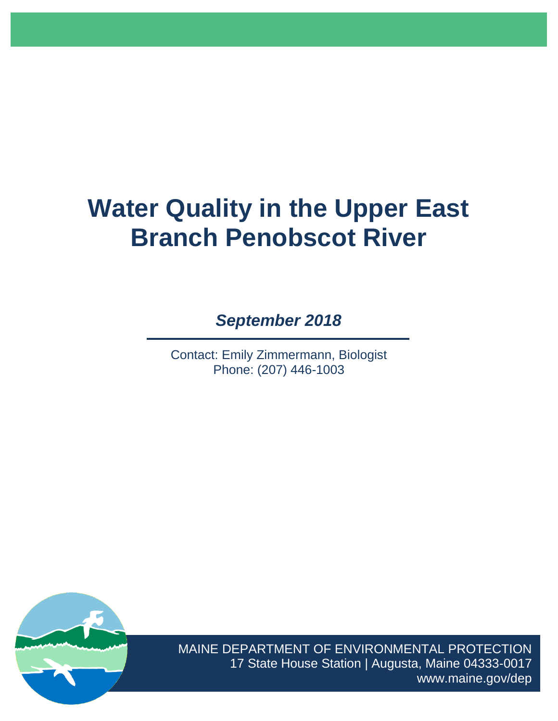# **Water Quality in the Upper East Branch Penobscot River**

*September 2018*

Contact: Emily Zimmermann, Biologist Phone: (207) 446-1003



MAINE DEPARTMENT OF ENVIRONMENTAL PROTECTION 17 State House Station | Augusta, Maine 04333-0017 www.maine.gov/dep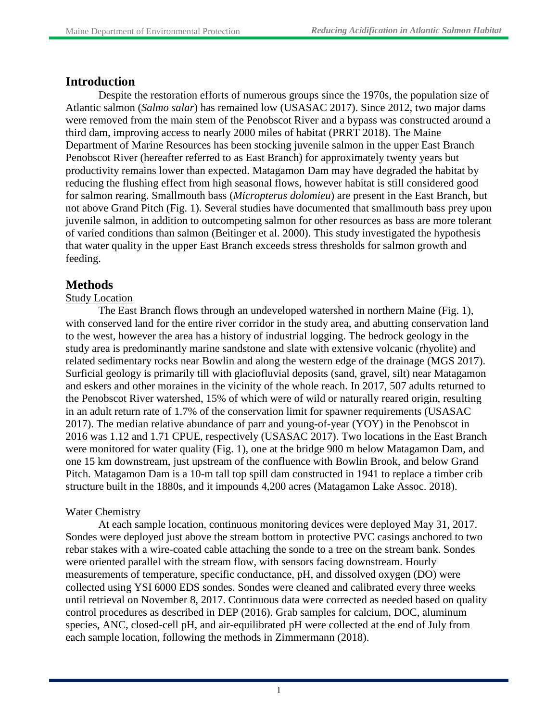# **Introduction**

Despite the restoration efforts of numerous groups since the 1970s, the population size of Atlantic salmon (*Salmo salar*) has remained low (USASAC 2017). Since 2012, two major dams were removed from the main stem of the Penobscot River and a bypass was constructed around a third dam, improving access to nearly 2000 miles of habitat (PRRT 2018). The Maine Department of Marine Resources has been stocking juvenile salmon in the upper East Branch Penobscot River (hereafter referred to as East Branch) for approximately twenty years but productivity remains lower than expected. Matagamon Dam may have degraded the habitat by reducing the flushing effect from high seasonal flows, however habitat is still considered good for salmon rearing. Smallmouth bass (*Micropterus dolomieu*) are present in the East Branch, but not above Grand Pitch (Fig. 1). Several studies have documented that smallmouth bass prey upon juvenile salmon, in addition to outcompeting salmon for other resources as bass are more tolerant of varied conditions than salmon (Beitinger et al. 2000). This study investigated the hypothesis that water quality in the upper East Branch exceeds stress thresholds for salmon growth and feeding.

# **Methods**

# Study Location

The East Branch flows through an undeveloped watershed in northern Maine (Fig. 1), with conserved land for the entire river corridor in the study area, and abutting conservation land to the west, however the area has a history of industrial logging. The bedrock geology in the study area is predominantly marine sandstone and slate with extensive volcanic (rhyolite) and related sedimentary rocks near Bowlin and along the western edge of the drainage (MGS 2017). Surficial geology is primarily till with glaciofluvial deposits (sand, gravel, silt) near Matagamon and eskers and other moraines in the vicinity of the whole reach. In 2017, 507 adults returned to the Penobscot River watershed, 15% of which were of wild or naturally reared origin, resulting in an adult return rate of 1.7% of the conservation limit for spawner requirements (USASAC 2017). The median relative abundance of parr and young-of-year (YOY) in the Penobscot in 2016 was 1.12 and 1.71 CPUE, respectively (USASAC 2017). Two locations in the East Branch were monitored for water quality (Fig. 1), one at the bridge 900 m below Matagamon Dam, and one 15 km downstream, just upstream of the confluence with Bowlin Brook, and below Grand Pitch. Matagamon Dam is a 10-m tall top spill dam constructed in 1941 to replace a timber crib structure built in the 1880s, and it impounds 4,200 acres (Matagamon Lake Assoc. 2018).

# Water Chemistry

At each sample location, continuous monitoring devices were deployed May 31, 2017. Sondes were deployed just above the stream bottom in protective PVC casings anchored to two rebar stakes with a wire-coated cable attaching the sonde to a tree on the stream bank. Sondes were oriented parallel with the stream flow, with sensors facing downstream. Hourly measurements of temperature, specific conductance, pH, and dissolved oxygen (DO) were collected using YSI 6000 EDS sondes. Sondes were cleaned and calibrated every three weeks until retrieval on November 8, 2017. Continuous data were corrected as needed based on quality control procedures as described in DEP (2016). Grab samples for calcium, DOC, aluminum species, ANC, closed-cell pH, and air-equilibrated pH were collected at the end of July from each sample location, following the methods in Zimmermann (2018).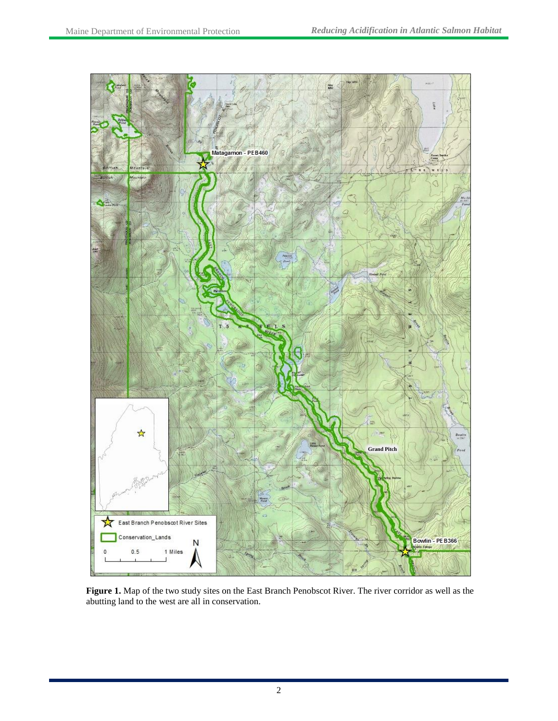

**Figure 1.** Map of the two study sites on the East Branch Penobscot River. The river corridor as well as the abutting land to the west are all in conservation.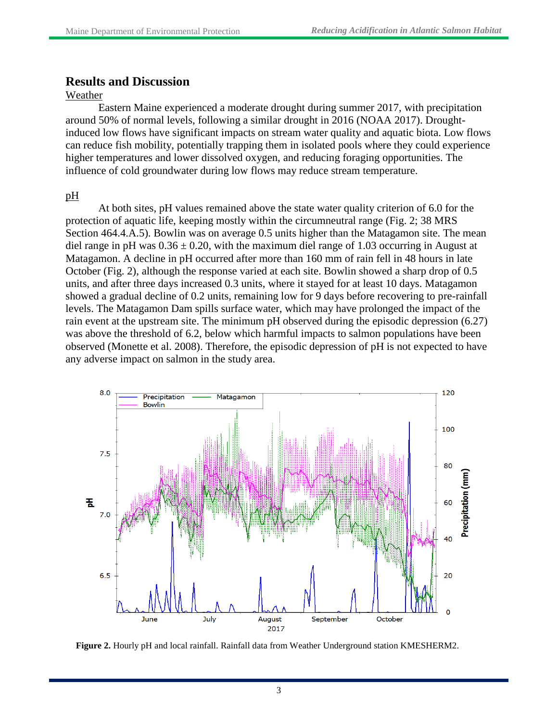# **Results and Discussion**

#### Weather

Eastern Maine experienced a moderate drought during summer 2017, with precipitation around 50% of normal levels, following a similar drought in 2016 (NOAA 2017). Droughtinduced low flows have significant impacts on stream water quality and aquatic biota. Low flows can reduce fish mobility, potentially trapping them in isolated pools where they could experience higher temperatures and lower dissolved oxygen, and reducing foraging opportunities. The influence of cold groundwater during low flows may reduce stream temperature.

## pH

At both sites, pH values remained above the state water quality criterion of 6.0 for the protection of aquatic life, keeping mostly within the circumneutral range (Fig. 2; 38 MRS Section 464.4.A.5). Bowlin was on average 0.5 units higher than the Matagamon site. The mean diel range in pH was  $0.36 \pm 0.20$ , with the maximum diel range of 1.03 occurring in August at Matagamon. A decline in pH occurred after more than 160 mm of rain fell in 48 hours in late October (Fig. 2), although the response varied at each site. Bowlin showed a sharp drop of 0.5 units, and after three days increased 0.3 units, where it stayed for at least 10 days. Matagamon showed a gradual decline of 0.2 units, remaining low for 9 days before recovering to pre-rainfall levels. The Matagamon Dam spills surface water, which may have prolonged the impact of the rain event at the upstream site. The minimum pH observed during the episodic depression (6.27) was above the threshold of 6.2, below which harmful impacts to salmon populations have been observed (Monette et al. 2008). Therefore, the episodic depression of pH is not expected to have any adverse impact on salmon in the study area.



**Figure 2.** Hourly pH and local rainfall. Rainfall data from Weather Underground station KMESHERM2.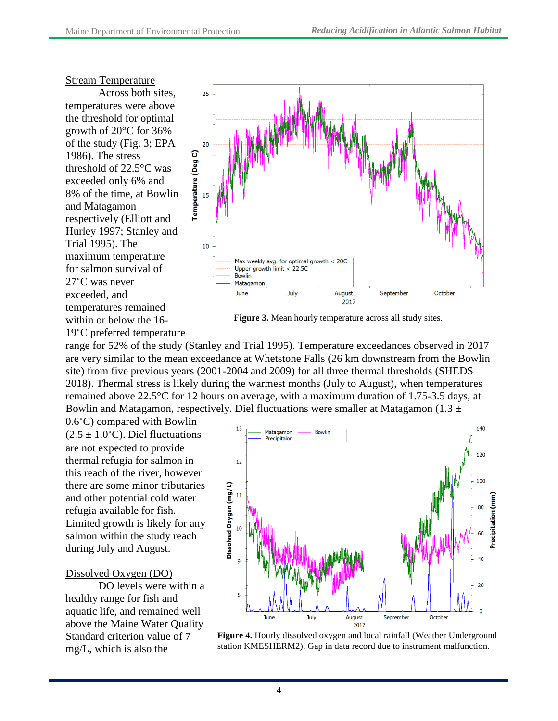#### Stream Temperature

Across both sites, temperatures were above the threshold for optimal growth of 20°C for 36% of the study (Fig. 3; EPA 1986). The stress threshold of 22.5°C was exceeded only 6% and 8% of the time, at Bowlin and Matagamon respectively (Elliott and Hurley 1997; Stanley and Trial 1995). The maximum temperature for salmon survival of 27°C was never exceeded, and temperatures remained within or below the 16-



**Figure 3.** Mean hourly temperature across all study sites.

19°C preferred temperature range for 52% of the study (Stanley and Trial 1995). Temperature exceedances observed in 2017 are very similar to the mean exceedance at Whetstone Falls (26 km downstream from the Bowlin site) from five previous years (2001-2004 and 2009) for all three thermal thresholds (SHEDS 2018). Thermal stress is likely during the warmest months (July to August), when temperatures remained above 22.5°C for 12 hours on average, with a maximum duration of 1.75-3.5 days, at Bowlin and Matagamon, respectively. Diel fluctuations were smaller at Matagamon (1.3  $\pm$ 

0.6°C) compared with Bowlin  $(2.5 \pm 1.0^{\circ} \text{C})$ . Diel fluctuations are not expected to provide thermal refugia for salmon in this reach of the river, however there are some minor tributaries and other potential cold water refugia available for fish. Limited growth is likely for any salmon within the study reach during July and August.

#### Dissolved Oxygen (DO)

DO levels were within a healthy range for fish and aquatic life, and remained well above the Maine Water Quality Standard criterion value of 7 mg/L, which is also the



**Figure 4.** Hourly dissolved oxygen and local rainfall (Weather Underground station KMESHERM2). Gap in data record due to instrument malfunction.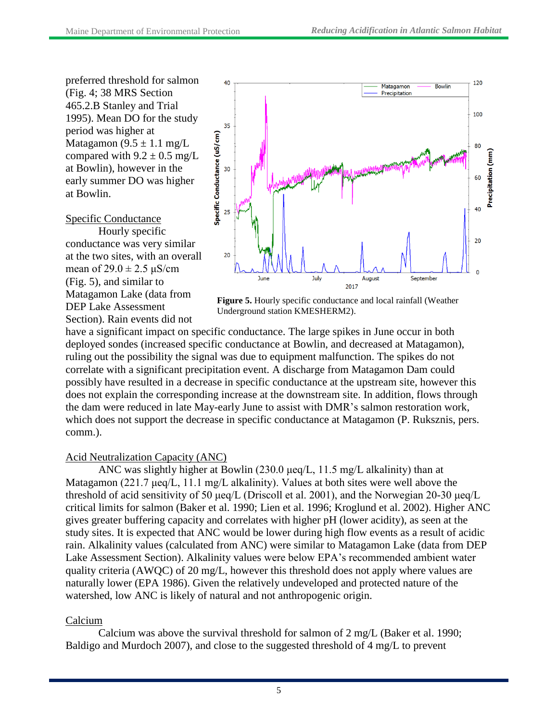preferred threshold for salmon (Fig. 4; 38 MRS Section 465.2.B Stanley and Trial 1995). Mean DO for the study period was higher at Matagamon  $(9.5 \pm 1.1 \text{ mg/L})$ compared with  $9.2 \pm 0.5$  mg/L at Bowlin), however in the early summer DO was higher at Bowlin.

## Specific Conductance

Hourly specific conductance was very similar at the two sites, with an overall mean of  $29.0 \pm 2.5 \,\mu\text{S/cm}$ (Fig. 5), and similar to Matagamon Lake (data from DEP Lake Assessment Section). Rain events did not



**Figure 5.** Hourly specific conductance and local rainfall (Weather Underground station KMESHERM2).

have a significant impact on specific conductance. The large spikes in June occur in both deployed sondes (increased specific conductance at Bowlin, and decreased at Matagamon), ruling out the possibility the signal was due to equipment malfunction. The spikes do not correlate with a significant precipitation event. A discharge from Matagamon Dam could possibly have resulted in a decrease in specific conductance at the upstream site, however this does not explain the corresponding increase at the downstream site. In addition, flows through the dam were reduced in late May-early June to assist with DMR's salmon restoration work, which does not support the decrease in specific conductance at Matagamon (P. Ruksznis, pers. comm.).

# Acid Neutralization Capacity (ANC)

ANC was slightly higher at Bowlin (230.0 μeq/L, 11.5 mg/L alkalinity) than at Matagamon (221.7 μeq/L, 11.1 mg/L alkalinity). Values at both sites were well above the threshold of acid sensitivity of 50 μeq/L (Driscoll et al. 2001), and the Norwegian 20-30 μeq/L critical limits for salmon (Baker et al. 1990; Lien et al. 1996; Kroglund et al. 2002). Higher ANC gives greater buffering capacity and correlates with higher pH (lower acidity), as seen at the study sites. It is expected that ANC would be lower during high flow events as a result of acidic rain. Alkalinity values (calculated from ANC) were similar to Matagamon Lake (data from DEP Lake Assessment Section). Alkalinity values were below EPA's recommended ambient water quality criteria (AWQC) of 20 mg/L, however this threshold does not apply where values are naturally lower (EPA 1986). Given the relatively undeveloped and protected nature of the watershed, low ANC is likely of natural and not anthropogenic origin.

# Calcium

Calcium was above the survival threshold for salmon of  $2 \text{ mg/L}$  (Baker et al. 1990; Baldigo and Murdoch 2007), and close to the suggested threshold of 4 mg/L to prevent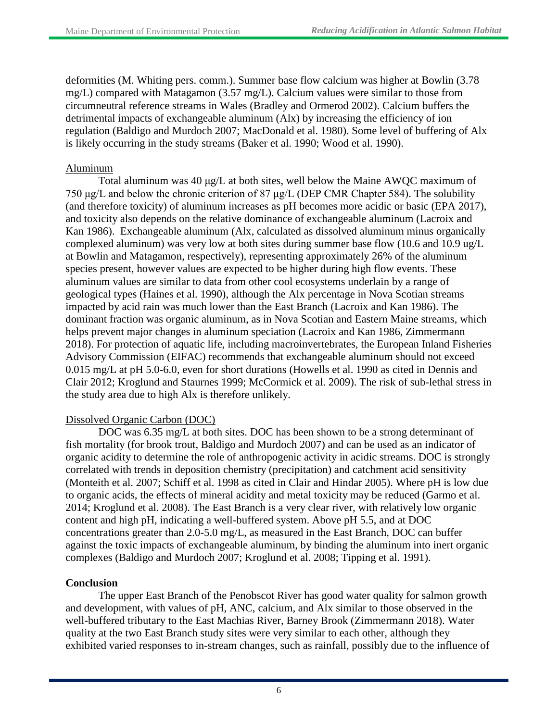deformities (M. Whiting pers. comm.). Summer base flow calcium was higher at Bowlin (3.78 mg/L) compared with Matagamon (3.57 mg/L). Calcium values were similar to those from circumneutral reference streams in Wales (Bradley and Ormerod 2002). Calcium buffers the detrimental impacts of exchangeable aluminum (Alx) by increasing the efficiency of ion regulation (Baldigo and Murdoch 2007; MacDonald et al. 1980). Some level of buffering of Alx is likely occurring in the study streams (Baker et al. 1990; Wood et al. 1990).

## Aluminum

Total aluminum was 40 μg/L at both sites, well below the Maine AWQC maximum of 750 μg/L and below the chronic criterion of 87 μg/L (DEP CMR Chapter 584). The solubility (and therefore toxicity) of aluminum increases as pH becomes more acidic or basic (EPA 2017), and toxicity also depends on the relative dominance of exchangeable aluminum (Lacroix and Kan 1986). Exchangeable aluminum (Alx, calculated as dissolved aluminum minus organically complexed aluminum) was very low at both sites during summer base flow (10.6 and 10.9 ug/L at Bowlin and Matagamon, respectively), representing approximately 26% of the aluminum species present, however values are expected to be higher during high flow events. These aluminum values are similar to data from other cool ecosystems underlain by a range of geological types (Haines et al. 1990), although the Alx percentage in Nova Scotian streams impacted by acid rain was much lower than the East Branch (Lacroix and Kan 1986). The dominant fraction was organic aluminum, as in Nova Scotian and Eastern Maine streams, which helps prevent major changes in aluminum speciation (Lacroix and Kan 1986, Zimmermann 2018). For protection of aquatic life, including macroinvertebrates, the European Inland Fisheries Advisory Commission (EIFAC) recommends that exchangeable aluminum should not exceed 0.015 mg/L at pH 5.0-6.0, even for short durations (Howells et al. 1990 as cited in Dennis and Clair 2012; Kroglund and Staurnes 1999; McCormick et al. 2009). The risk of sub-lethal stress in the study area due to high Alx is therefore unlikely.

# Dissolved Organic Carbon (DOC)

DOC was 6.35 mg/L at both sites. DOC has been shown to be a strong determinant of fish mortality (for brook trout, Baldigo and Murdoch 2007) and can be used as an indicator of organic acidity to determine the role of anthropogenic activity in acidic streams. DOC is strongly correlated with trends in deposition chemistry (precipitation) and catchment acid sensitivity (Monteith et al. 2007; Schiff et al. 1998 as cited in Clair and Hindar 2005). Where pH is low due to organic acids, the effects of mineral acidity and metal toxicity may be reduced (Garmo et al. 2014; Kroglund et al. 2008). The East Branch is a very clear river, with relatively low organic content and high pH, indicating a well-buffered system. Above pH 5.5, and at DOC concentrations greater than 2.0-5.0 mg/L, as measured in the East Branch, DOC can buffer against the toxic impacts of exchangeable aluminum, by binding the aluminum into inert organic complexes (Baldigo and Murdoch 2007; Kroglund et al. 2008; Tipping et al. 1991).

# **Conclusion**

The upper East Branch of the Penobscot River has good water quality for salmon growth and development, with values of pH, ANC, calcium, and Alx similar to those observed in the well-buffered tributary to the East Machias River, Barney Brook (Zimmermann 2018). Water quality at the two East Branch study sites were very similar to each other, although they exhibited varied responses to in-stream changes, such as rainfall, possibly due to the influence of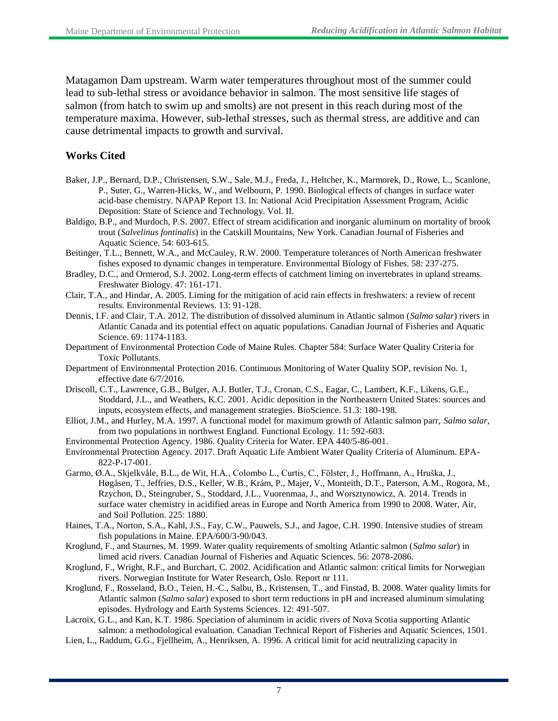Matagamon Dam upstream. Warm water temperatures throughout most of the summer could lead to sub-lethal stress or avoidance behavior in salmon. The most sensitive life stages of salmon (from hatch to swim up and smolts) are not present in this reach during most of the temperature maxima. However, sub-lethal stresses, such as thermal stress, are additive and can cause detrimental impacts to growth and survival.

## **Works Cited**

- Baker, J.P., Bernard, D.P., Christensen, S.W., Sale, M.J., Freda, J., Heltcher, K., Marmorek, D., Rowe, L., Scanlone, P., Suter, G., Warren-Hicks, W., and Welbourn, P. 1990. Biological effects of changes in surface water acid-base chemistry. NAPAP Report 13. In: National Acid Precipitation Assessment Program, Acidic Deposition: State of Science and Technology. Vol. II.
- Baldigo, B.P., and Murdoch, P.S. 2007. Effect of stream acidification and inorganic aluminum on mortality of brook trout (*Salvelinus fontinalis*) in the Catskill Mountains, New York. Canadian Journal of Fisheries and Aquatic Science. 54: 603-615.
- Beitinger, T.L., Bennett, W.A., and McCauley, R.W. 2000. Temperature tolerances of North American freshwater fishes exposed to dynamic changes in temperature. Environmental Biology of Fishes. 58: 237-275.
- Bradley, D.C., and Ormerod, S.J. 2002. Long-term effects of catchment liming on invertebrates in upland streams. Freshwater Biology. 47: 161-171.
- Clair, T.A., and Hindar, A. 2005. Liming for the mitigation of acid rain effects in freshwaters: a review of recent results. Environmental Reviews. 13: 91-128.
- Dennis, I.F. and Clair, T.A. 2012. The distribution of dissolved aluminum in Atlantic salmon (*Salmo salar*) rivers in Atlantic Canada and its potential effect on aquatic populations. Canadian Journal of Fisheries and Aquatic Science. 69: 1174-1183.
- Department of Environmental Protection Code of Maine Rules. Chapter 584: Surface Water Quality Criteria for Toxic Pollutants.
- Department of Environmental Protection 2016. Continuous Monitoring of Water Quality SOP, revision No. 1, effective date 6/7/2016.
- Driscoll, C.T., Lawrence, G.B., Bulger, A.J. Butler, T.J., Cronan, C.S., Eagar, C., Lambert, K.F., Likens, G.E., Stoddard, J.L., and Weathers, K.C. 2001. Acidic deposition in the Northeastern United States: sources and inputs, ecosystem effects, and management strategies. BioScience. 51.3: 180-198.
- Elliot, J.M., and Hurley, M.A. 1997. A functional model for maximum growth of Atlantic salmon parr, *Salmo salar*, from two populations in northwest England. Functional Ecology. 11: 592-603.
- Environmental Protection Agency. 1986. Quality Criteria for Water. EPA 440/5-86-001.
- Environmental Protection Agency. 2017. Draft Aquatic Life Ambient Water Quality Criteria of Aluminum. EPA-822-P-17-001.
- Garmo, Ø.A., Skjelkvåle, B.L., de Wit, H.A., Colombo L., Curtis, C., Fölster, J., Hoffmann, A., Hruška, J., Høgåsen, T., Jeffries, D.S., Keller, W.B., Krám, P., Majer, V., Monteith, D.T., Paterson, A.M., Rogora, M., Rzychon, D., Steingruber, S., Stoddard, J.L., Vuorenmaa, J., and Worsztynowicz, A. 2014. Trends in surface water chemistry in acidified areas in Europe and North America from 1990 to 2008. Water, Air, and Soil Pollution. 225: 1880.
- Haines, T.A., Norton, S.A., Kahl, J.S., Fay, C.W., Pauwels, S.J., and Jagoe, C.H. 1990. Intensive studies of stream fish populations in Maine. EPA/600/3-90/043.
- Kroglund, F., and Staurnes, M. 1999. Water quality requirements of smolting Atlantic salmon (*Salmo salar*) in limed acid rivers. Canadian Journal of Fisheries and Aquatic Sciences. 56: 2078-2086.
- Kroglund, F., Wright, R.F., and Burchart, C. 2002. Acidification and Atlantic salmon: critical limits for Norwegian rivers. Norwegian Institute for Water Research, Oslo. Report nr 111.
- Kroglund, F., Rosseland, B.O., Teien, H.-C., Salbu, B., Kristensen, T., and Finstad, B. 2008. Water quality limits for Atlantic salmon (*Salmo salar*) exposed to short term reductions in pH and increased aluminum simulating episodes. Hydrology and Earth Systems Sciences. 12: 491-507.

Lacroix, G.L., and Kan, K.T. 1986. Speciation of aluminum in acidic rivers of Nova Scotia supporting Atlantic salmon: a methodological evaluation. Canadian Technical Report of Fisheries and Aquatic Sciences, 1501.

Lien, L., Raddum, G.G., Fjellheim, A., Henriksen, A. 1996. A critical limit for acid neutralizing capacity in